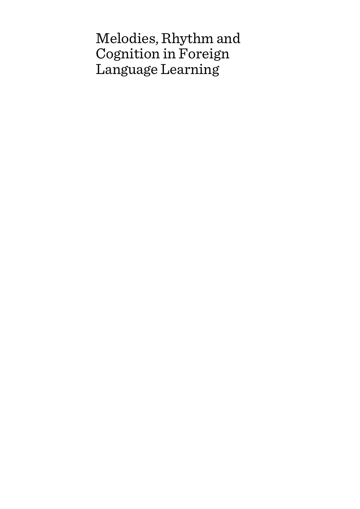# Melodies, Rhythm and Cognition in Foreign Language Learning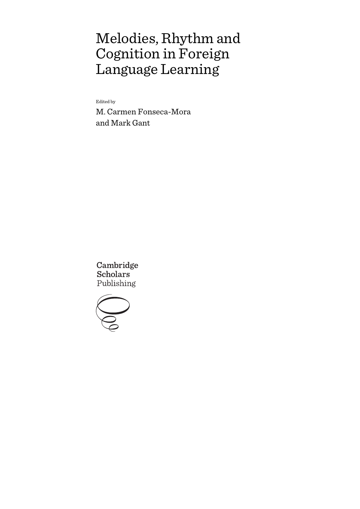# Melodies, Rhythm and Cognition in Foreign Language Learning

Edited by

M. Carmen Fonseca-Mora and Mark Gant

Cambridge **Scholars** Publishing

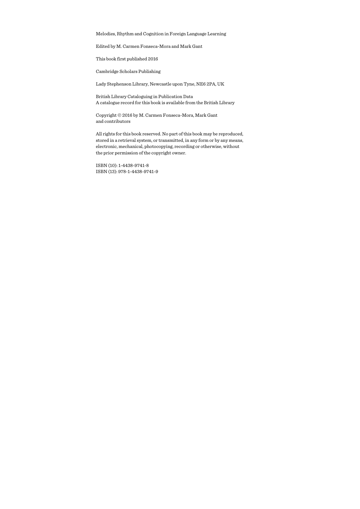Melodies, Rhythm and Cognition in Foreign Language Learning

Edited by M. Carmen Fonseca-Mora and Mark Gant

This book first published 2016

Cambridge Scholars Publishing

Lady Stephenson Library, Newcastle upon Tyne, NE6 2PA, UK

British Library Cataloguing in Publication Data A catalogue record for this book is available from the British Library

Copyright © 2016 by M. Carmen Fonseca-Mora, Mark Gant and contributors

All rights for this book reserved. No part of this book may be reproduced, stored in a retrieval system, or transmitted, in any form or by any means, electronic, mechanical, photocopying, recording or otherwise, without the prior permission of the copyright owner.

ISBN (10): 1-4438-9741-8 ISBN (13): 978-1-4438-9741-9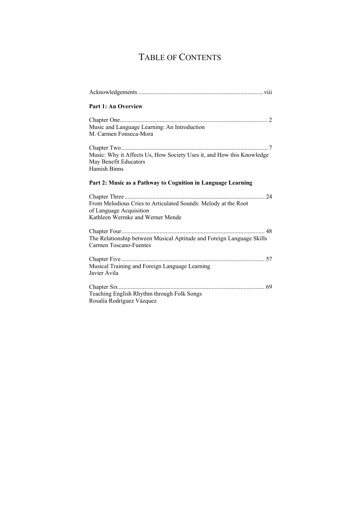# TABLE OF CONTENTS

| Part 1: An Overview                                                                                                           |
|-------------------------------------------------------------------------------------------------------------------------------|
| Music and Language Learning: An Introduction<br>M. Carmen Fonseca-Mora                                                        |
|                                                                                                                               |
| Music: Why it Affects Us, How Society Uses it, and How this Knowledge<br>May Benefit Educators<br>Hamish Binns                |
| Part 2: Music as a Pathway to Cognition in Language Learning                                                                  |
| From Melodious Cries to Articulated Sounds: Melody at the Root<br>of Language Acquisition<br>Kathleen Wermke and Werner Mende |
| The Relationship between Musical Aptitude and Foreign Language Skills<br>Carmen Toscano-Fuentes                               |
| Musical Training and Foreign Language Learning<br>Javier Ávila                                                                |
| Teaching English Rhythm through Folk Songs<br>Rosalía Rodríguez Vázquez                                                       |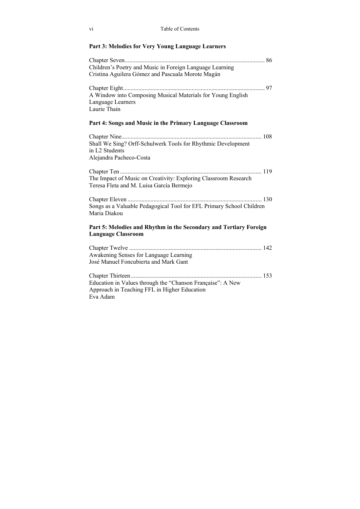### **Part 3: Melodies for Very Young Language Learners**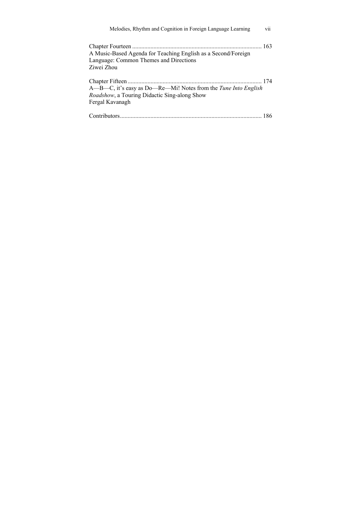| Melodies, Rhythm and Cognition in Foreign Language Learning                                                                                      | vii |
|--------------------------------------------------------------------------------------------------------------------------------------------------|-----|
| A Music-Based Agenda for Teaching English as a Second/Foreign<br>Language: Common Themes and Directions<br>Ziwei Zhou                            |     |
| A—B—C, it's easy as Do—Re—Mi! Notes from the <i>Tune Into English</i><br><i>Roadshow</i> , a Touring Didactic Sing-along Show<br>Fergal Kavanagh |     |
|                                                                                                                                                  |     |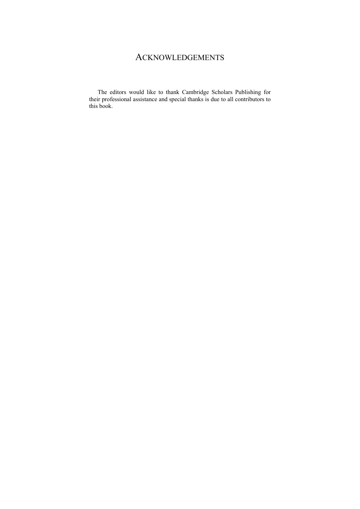# ACKNOWLEDGEMENTS

The editors would like to thank Cambridge Scholars Publishing for their professional assistance and special thanks is due to all contributors to this book.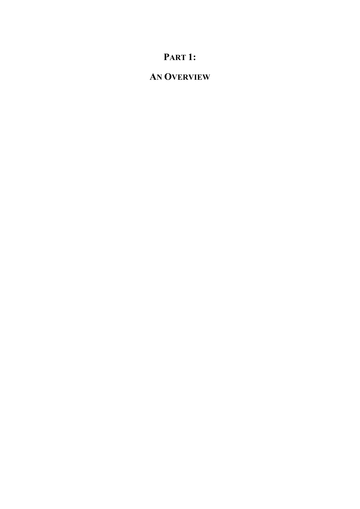# **PART 1:**

# **AN OVERVIEW**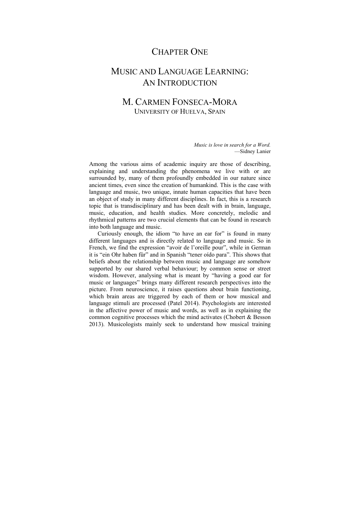## CHAPTER ONE

# MUSIC AND LANGUAGE LEARNING: AN INTRODUCTION

### M. CARMEN FONSECA-MORA UNIVERSITY OF HUELVA, SPAIN

 *Music is love in search for a Word.*  —Sidney Lanier

Among the various aims of academic inquiry are those of describing, explaining and understanding the phenomena we live with or are surrounded by, many of them profoundly embedded in our nature since ancient times, even since the creation of humankind. This is the case with language and music, two unique, innate human capacities that have been an object of study in many different disciplines. In fact, this is a research topic that is transdisciplinary and has been dealt with in brain, language, music, education, and health studies. More concretely, melodic and rhythmical patterns are two crucial elements that can be found in research into both language and music.

Curiously enough, the idiom "to have an ear for" is found in many different languages and is directly related to language and music. So in French, we find the expression "avoir de l'oreille pour", while in German it is "ein Ohr haben für" and in Spanish "tener oído para". This shows that beliefs about the relationship between music and language are somehow supported by our shared verbal behaviour; by common sense or street wisdom. However, analysing what is meant by "having a good ear for music or languages" brings many different research perspectives into the picture. From neuroscience, it raises questions about brain functioning, which brain areas are triggered by each of them or how musical and language stimuli are processed (Patel 2014). Psychologists are interested in the affective power of music and words, as well as in explaining the common cognitive processes which the mind activates (Chobert & Besson 2013). Musicologists mainly seek to understand how musical training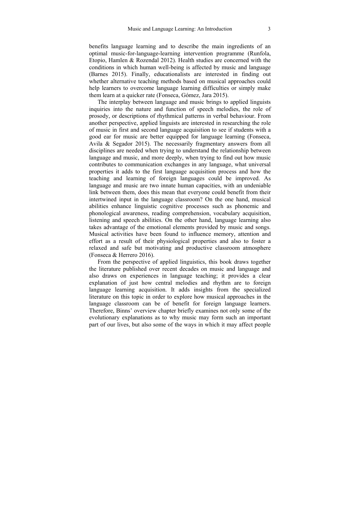benefits language learning and to describe the main ingredients of an optimal music-for-language-learning intervention programme (Runfola, Etopio, Hamlen & Rozendal 2012). Health studies are concerned with the conditions in which human well-being is affected by music and language (Barnes 2015). Finally, educationalists are interested in finding out whether alternative teaching methods based on musical approaches could help learners to overcome language learning difficulties or simply make them learn at a quicker rate (Fonseca, Gómez, Jara 2015).

The interplay between language and music brings to applied linguists inquiries into the nature and function of speech melodies, the role of prosody, or descriptions of rhythmical patterns in verbal behaviour. From another perspective, applied linguists are interested in researching the role of music in first and second language acquisition to see if students with a good ear for music are better equipped for language learning (Fonseca, Avila & Segador 2015). The necessarily fragmentary answers from all disciplines are needed when trying to understand the relationship between language and music, and more deeply, when trying to find out how music contributes to communication exchanges in any language, what universal properties it adds to the first language acquisition process and how the teaching and learning of foreign languages could be improved. As language and music are two innate human capacities, with an undeniable link between them, does this mean that everyone could benefit from their intertwined input in the language classroom? On the one hand, musical abilities enhance linguistic cognitive processes such as phonemic and phonological awareness, reading comprehension, vocabulary acquisition, listening and speech abilities. On the other hand, language learning also takes advantage of the emotional elements provided by music and songs. Musical activities have been found to influence memory, attention and effort as a result of their physiological properties and also to foster a relaxed and safe but motivating and productive classroom atmosphere (Fonseca & Herrero 2016).

From the perspective of applied linguistics, this book draws together the literature published over recent decades on music and language and also draws on experiences in language teaching; it provides a clear explanation of just how central melodies and rhythm are to foreign language learning acquisition. It adds insights from the specialized literature on this topic in order to explore how musical approaches in the language classroom can be of benefit for foreign language learners. Therefore, Binns' overview chapter briefly examines not only some of the evolutionary explanations as to why music may form such an important part of our lives, but also some of the ways in which it may affect people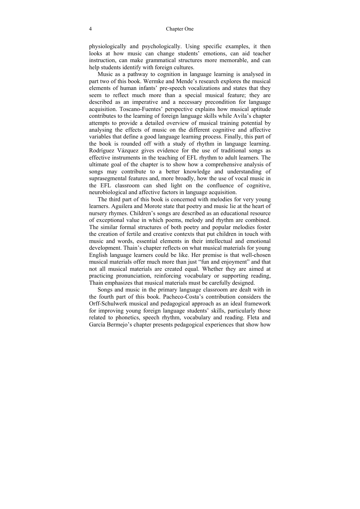physiologically and psychologically. Using specific examples, it then looks at how music can change students' emotions, can aid teacher instruction, can make grammatical structures more memorable, and can help students identify with foreign cultures.

Music as a pathway to cognition in language learning is analysed in part two of this book. Wermke and Mende's research explores the musical elements of human infants' pre-speech vocalizations and states that they seem to reflect much more than a special musical feature; they are described as an imperative and a necessary precondition for language acquisition. Toscano-Fuentes' perspective explains how musical aptitude contributes to the learning of foreign language skills while Avila's chapter attempts to provide a detailed overview of musical training potential by analysing the effects of music on the different cognitive and affective variables that define a good language learning process. Finally, this part of the book is rounded off with a study of rhythm in language learning. Rodríguez Vázquez gives evidence for the use of traditional songs as effective instruments in the teaching of EFL rhythm to adult learners. The ultimate goal of the chapter is to show how a comprehensive analysis of songs may contribute to a better knowledge and understanding of suprasegmental features and, more broadly, how the use of vocal music in the EFL classroom can shed light on the confluence of cognitive, neurobiological and affective factors in language acquisition.

The third part of this book is concerned with melodies for very young learners. Aguilera and Morote state that poetry and music lie at the heart of nursery rhymes. Children's songs are described as an educational resource of exceptional value in which poems, melody and rhythm are combined. The similar formal structures of both poetry and popular melodies foster the creation of fertile and creative contexts that put children in touch with music and words, essential elements in their intellectual and emotional development. Thain's chapter reflects on what musical materials for young English language learners could be like. Her premise is that well-chosen musical materials offer much more than just "fun and enjoyment" and that not all musical materials are created equal. Whether they are aimed at practicing pronunciation, reinforcing vocabulary or supporting reading, Thain emphasizes that musical materials must be carefully designed.

Songs and music in the primary language classroom are dealt with in the fourth part of this book. Pacheco-Costa's contribution considers the Orff-Schulwerk musical and pedagogical approach as an ideal framework for improving young foreign language students' skills, particularly those related to phonetics, speech rhythm, vocabulary and reading. Fleta and García Bermejo's chapter presents pedagogical experiences that show how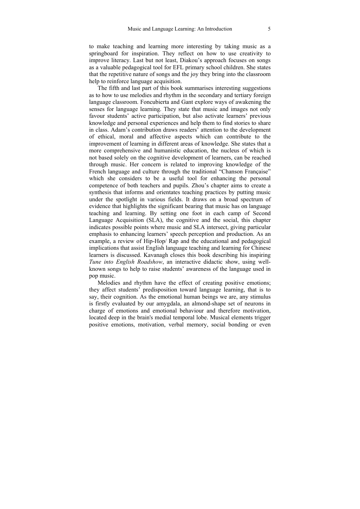to make teaching and learning more interesting by taking music as a springboard for inspiration. They reflect on how to use creativity to improve literacy. Last but not least, Diakou's approach focuses on songs as a valuable pedagogical tool for EFL primary school children. She states that the repetitive nature of songs and the joy they bring into the classroom help to reinforce language acquisition.

The fifth and last part of this book summarises interesting suggestions as to how to use melodies and rhythm in the secondary and tertiary foreign language classroom. Foncubierta and Gant explore ways of awakening the senses for language learning. They state that music and images not only favour students' active participation, but also activate learners' previous knowledge and personal experiences and help them to find stories to share in class. Adam's contribution draws readers' attention to the development of ethical, moral and affective aspects which can contribute to the improvement of learning in different areas of knowledge. She states that a more comprehensive and humanistic education, the nucleus of which is not based solely on the cognitive development of learners, can be reached through music. Her concern is related to improving knowledge of the French language and culture through the traditional "Chanson Française" which she considers to be a useful tool for enhancing the personal competence of both teachers and pupils. Zhou's chapter aims to create a synthesis that informs and orientates teaching practices by putting music under the spotlight in various fields. It draws on a broad spectrum of evidence that highlights the significant bearing that music has on language teaching and learning. By setting one foot in each camp of Second Language Acquisition (SLA), the cognitive and the social, this chapter indicates possible points where music and SLA intersect, giving particular emphasis to enhancing learners' speech perception and production. As an example, a review of Hip-Hop/ Rap and the educational and pedagogical implications that assist English language teaching and learning for Chinese learners is discussed. Kavanagh closes this book describing his inspiring *Tune into English Roadshow*, an interactive didactic show, using wellknown songs to help to raise students' awareness of the language used in pop music.

Melodies and rhythm have the effect of creating positive emotions; they affect students' predisposition toward language learning, that is to say, their cognition. As the emotional human beings we are, any stimulus is firstly evaluated by our amygdala, an almond-shape set of neurons in charge of emotions and emotional behaviour and therefore motivation, located deep in the brain's medial temporal lobe. Musical elements trigger positive emotions, motivation, verbal memory, social bonding or even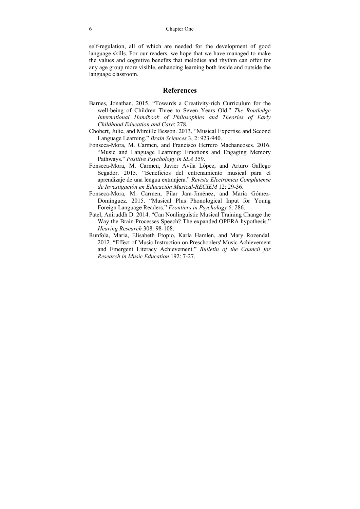6 Chapter One

self-regulation, all of which are needed for the development of good language skills. For our readers, we hope that we have managed to make the values and cognitive benefits that melodies and rhythm can offer for any age group more visible, enhancing learning both inside and outside the language classroom.

#### **References**

- Barnes, Jonathan. 2015. "Towards a Creativity-rich Curriculum for the well-being of Children Three to Seven Years Old." *The Routledge International Handbook of Philosophies and Theories of Early Childhood Education and Care*: 278.
- Chobert, Julie, and Mireille Besson. 2013. "Musical Expertise and Second Language Learning." *Brain Sciences* 3, 2: 923-940.
- Fonseca-Mora, M. Carmen, and Francisco Herrero Machancoses. 2016. "Music and Language Learning: Emotions and Engaging Memory Pathways." *Positive Psychology in SLA* 359.
- Fonseca-Mora, M. Carmen, Javier Avila López, and Arturo Gallego Segador. 2015. "Beneficios del entrenamiento musical para el aprendizaje de una lengua extranjera." *Revista Electrónica Complutense de Investigación en Educación Musical-RECIEM* 12: 29-36.
- Fonseca-Mora, M. Carmen, Pilar Jara-Jiménez, and María Gómez-Domínguez. 2015. "Musical Plus Phonological Input for Young Foreign Language Readers." *Frontiers in Psychology* 6: 286.
- Patel, Aniruddh D. 2014. "Can Nonlinguistic Musical Training Change the Way the Brain Processes Speech? The expanded OPERA hypothesis." *Hearing Research* 308: 98-108.
- Runfola, Maria, Elisabeth Etopio, Karla Hamlen, and Mary Rozendal. 2012. "Effect of Music Instruction on Preschoolers' Music Achievement and Emergent Literacy Achievement." *Bulletin of the Council for Research in Music Education* 192: 7-27.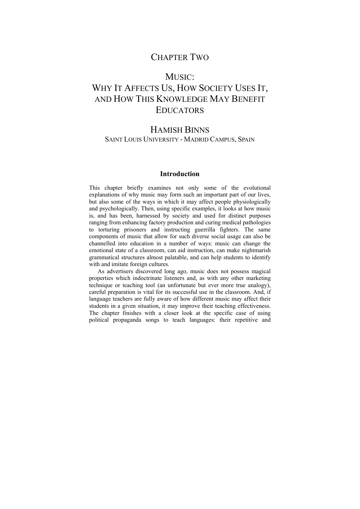## CHAPTER TWO

### MUSIC<sup>.</sup>

# WHY IT AFFECTS US, HOW SOCIETY USES IT, AND HOW THIS KNOWLEDGE MAY BENEFIT **EDUCATORS**

## HAMISH BINNS SAINT LOUIS UNIVERSITY - MADRID CAMPUS, SPAIN

#### **Introduction**

This chapter briefly examines not only some of the evolutional explanations of why music may form such an important part of our lives, but also some of the ways in which it may affect people physiologically and psychologically. Then, using specific examples, it looks at how music is, and has been, harnessed by society and used for distinct purposes ranging from enhancing factory production and curing medical pathologies to torturing prisoners and instructing guerrilla fighters. The same components of music that allow for such diverse social usage can also be channelled into education in a number of ways: music can change the emotional state of a classroom, can aid instruction, can make nightmarish grammatical structures almost palatable, and can help students to identify with and imitate foreign cultures.

As advertisers discovered long ago, music does not possess magical properties which indoctrinate listeners and, as with any other marketing technique or teaching tool (an unfortunate but ever more true analogy), careful preparation is vital for its successful use in the classroom. And, if language teachers are fully aware of how different music may affect their students in a given situation, it may improve their teaching effectiveness. The chapter finishes with a closer look at the specific case of using political propaganda songs to teach languages: their repetitive and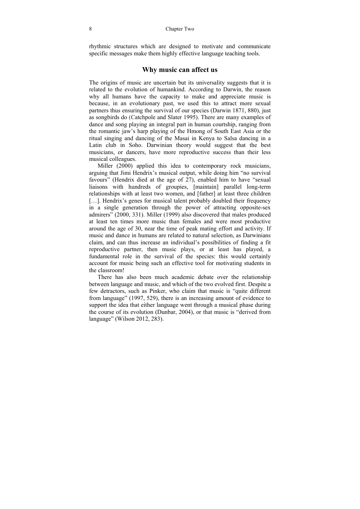rhythmic structures which are designed to motivate and communicate specific messages make them highly effective language teaching tools.

#### **Why music can affect us**

The origins of music are uncertain but its universality suggests that it is related to the evolution of humankind. According to Darwin, the reason why all humans have the capacity to make and appreciate music is because, in an evolutionary past, we used this to attract more sexual partners thus ensuring the survival of our species (Darwin 1871, 880), just as songbirds do (Catchpole and Slater 1995). There are many examples of dance and song playing an integral part in human courtship, ranging from the romantic jaw's harp playing of the Hmong of South East Asia or the ritual singing and dancing of the Masai in Kenya to Salsa dancing in a Latin club in Soho. Darwinian theory would suggest that the best musicians, or dancers, have more reproductive success than their less musical colleagues.

Miller (2000) applied this idea to contemporary rock musicians, arguing that Jimi Hendrix's musical output, while doing him "no survival favours" (Hendrix died at the age of 27), enabled him to have "sexual liaisons with hundreds of groupies, [maintain] parallel long-term relationships with at least two women, and [father] at least three children [...]. Hendrix's genes for musical talent probably doubled their frequency in a single generation through the power of attracting opposite-sex admirers" (2000, 331). Miller (1999) also discovered that males produced at least ten times more music than females and were most productive around the age of 30, near the time of peak mating effort and activity. If music and dance in humans are related to natural selection, as Darwinians claim, and can thus increase an individual's possibilities of finding a fit reproductive partner, then music plays, or at least has played, a fundamental role in the survival of the species: this would certainly account for music being such an effective tool for motivating students in the classroom!

There has also been much academic debate over the relationship between language and music, and which of the two evolved first. Despite a few detractors, such as Pinker, who claim that music is "quite different from language" (1997, 529), there is an increasing amount of evidence to support the idea that either language went through a musical phase during the course of its evolution (Dunbar, 2004), or that music is "derived from language" (Wilson 2012, 283).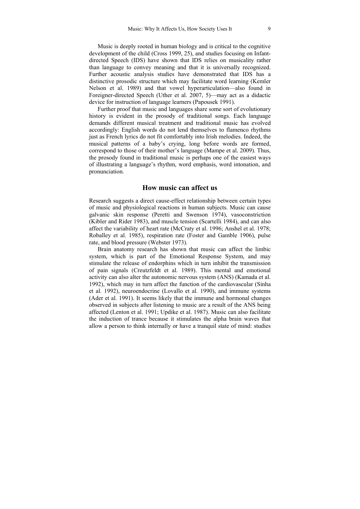Music is deeply rooted in human biology and is critical to the cognitive development of the child (Cross 1999, 25), and studies focusing on Infantdirected Speech (IDS) have shown that IDS relies on musicality rather than language to convey meaning and that it is universally recognized. Further acoustic analysis studies have demonstrated that IDS has a distinctive prosodic structure which may facilitate word learning (Kemler Nelson et al. 1989) and that vowel hyperarticulation—also found in Foreigner-directed Speech (Uther et al. 2007, 5)—may act as a didactic device for instruction of language learners (Papousek 1991).

Further proof that music and languages share some sort of evolutionary history is evident in the prosody of traditional songs. Each language demands different musical treatment and traditional music has evolved accordingly: English words do not lend themselves to flamenco rhythms just as French lyrics do not fit comfortably into Irish melodies. Indeed, the musical patterns of a baby's crying, long before words are formed, correspond to those of their mother's language (Mampe et al. 2009). Thus, the prosody found in traditional music is perhaps one of the easiest ways of illustrating a language's rhythm, word emphasis, word intonation, and pronunciation.

#### **How music can affect us**

Research suggests a direct cause-effect relationship between certain types of music and physiological reactions in human subjects. Music can cause galvanic skin response (Peretti and Swenson 1974), vasoconstriction (Kibler and Rider 1983), and muscle tension (Scartelli 1984), and can also affect the variability of heart rate (McCraty et al. 1996; Anshel et al. 1978; Roballey et al. 1985), respiration rate (Foster and Gamble 1906), pulse rate, and blood pressure (Webster 1973).

Brain anatomy research has shown that music can affect the limbic system, which is part of the Emotional Response System, and may stimulate the release of endorphins which in turn inhibit the transmission of pain signals (Creutzfeldt et al. 1989). This mental and emotional activity can also alter the autonomic nervous system (ANS) (Kamada et al. 1992), which may in turn affect the function of the cardiovascular (Sinha et al. 1992), neuroendocrine (Lovallo et al. 1990), and immune systems (Ader et al. 1991). It seems likely that the immune and hormonal changes observed in subjects after listening to music are a result of the ANS being affected (Lenton et al. 1991; Updike et al. 1987). Music can also facilitate the induction of trance because it stimulates the alpha brain waves that allow a person to think internally or have a tranquil state of mind: studies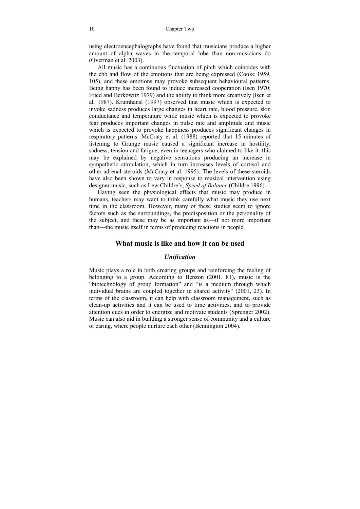using electroencephalographs have found that musicians produce a higher amount of alpha waves in the temporal lobe than non-musicians do (Overman et al. 2003).

All music has a continuous fluctuation of pitch which coincides with the ebb and flow of the emotions that are being expressed (Cooke 1959, 105), and these emotions may provoke subsequent behavioural patterns. Being happy has been found to induce increased cooperation (Isen 1970; Fried and Berkowitz 1979) and the ability to think more creatively (Isen et al. 1987). Krumhansl (1997) observed that music which is expected to invoke sadness produces large changes in heart rate, blood pressure, skin conductance and temperature while music which is expected to provoke fear produces important changes in pulse rate and amplitude and music which is expected to provoke happiness produces significant changes in respiratory patterns. McCraty et al. (1988) reported that 15 minutes of listening to Grunge music caused a significant increase in hostility, sadness, tension and fatigue, even in teenagers who claimed to like it: this may be explained by negative sensations producing an increase in sympathetic stimulation, which in turn increases levels of cortisol and other adrenal steroids (McCraty et al. 1995). The levels of these steroids have also been shown to vary in response to musical intervention using designer music, such as Lew Childre's, *Speed of Balance* (Childre 1996).

Having seen the physiological effects that music may produce in humans, teachers may want to think carefully what music they use next time in the classroom. However, many of these studies seem to ignore factors such as the surroundings, the predisposition or the personality of the subject, and these may be as important as—if not more important than—the music itself in terms of producing reactions in people.

#### **What music is like and how it can be used**

#### *Unification*

Music plays a role in both creating groups and reinforcing the feeling of belonging to a group. According to Benzon (2001, 81), music is the "biotechnology of group formation" and "is a medium through which individual brains are coupled together in shared activity" (2001, 23). In terms of the classroom, it can help with classroom management, such as clean-up activities and it can be used to time activities, and to provide attention cues in order to energize and motivate students (Sprenger 2002). Music can also aid in building a stronger sense of community and a culture of caring, where people nurture each other (Bennington 2004).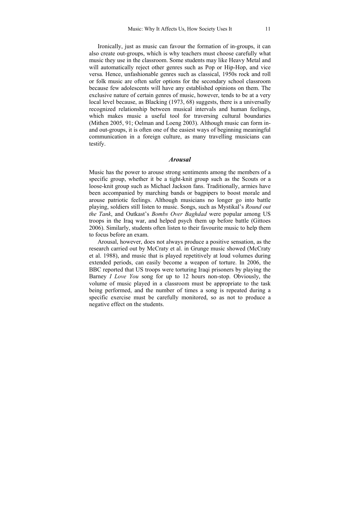Ironically, just as music can favour the formation of in-groups, it can also create out-groups, which is why teachers must choose carefully what music they use in the classroom. Some students may like Heavy Metal and will automatically reject other genres such as Pop or Hip-Hop, and vice versa. Hence, unfashionable genres such as classical, 1950s rock and roll or folk music are often safer options for the secondary school classroom because few adolescents will have any established opinions on them. The exclusive nature of certain genres of music, however, tends to be at a very local level because, as Blacking (1973, 68) suggests, there is a universally recognized relationship between musical intervals and human feelings, which makes music a useful tool for traversing cultural boundaries (Mithen 2005, 91; Oelman and Loeng 2003). Although music can form inand out-groups, it is often one of the easiest ways of beginning meaningful communication in a foreign culture, as many travelling musicians can testify.

#### *Arousal*

Music has the power to arouse strong sentiments among the members of a specific group, whether it be a tight-knit group such as the Scouts or a loose-knit group such as Michael Jackson fans. Traditionally, armies have been accompanied by marching bands or bagpipers to boost morale and arouse patriotic feelings. Although musicians no longer go into battle playing, soldiers still listen to music. Songs, such as Mystikal's *Round out the Tank*, and Outkast's *Bombs Over Baghdad* were popular among US troops in the Iraq war, and helped psych them up before battle (Gittoes 2006). Similarly, students often listen to their favourite music to help them to focus before an exam.

Arousal, however, does not always produce a positive sensation, as the research carried out by McCraty et al. in Grunge music showed (McCraty et al. 1988), and music that is played repetitively at loud volumes during extended periods, can easily become a weapon of torture. In 2006, the BBC reported that US troops were torturing Iraqi prisoners by playing the Barney *I Love You* song for up to 12 hours non-stop. Obviously, the volume of music played in a classroom must be appropriate to the task being performed, and the number of times a song is repeated during a specific exercise must be carefully monitored, so as not to produce a negative effect on the students.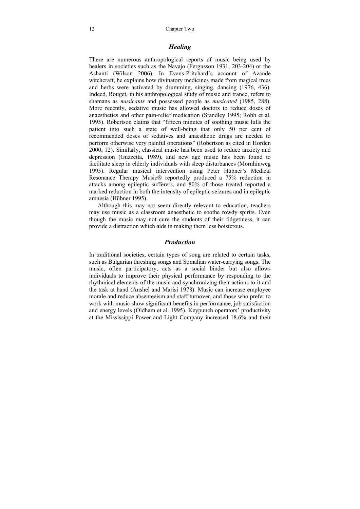#### *Healing*

There are numerous anthropological reports of music being used by healers in societies such as the Navajo (Fergusson 1931, 203-204) or the Ashanti (Wilson 2006). In Evans-Pritchard's account of Azande witchcraft, he explains how divinatory medicines made from magical trees and herbs were activated by drumming, singing, dancing (1976, 436). Indeed, Rouget, in his anthropological study of music and trance, refers to shamans as *musicants* and possessed people as *musicated* (1985, 288). More recently, sedative music has allowed doctors to reduce doses of anaesthetics and other pain-relief medication (Standley 1995; Robb et al. 1995). Robertson claims that "fifteen minutes of soothing music lulls the patient into such a state of well-being that only 50 per cent of recommended doses of sedatives and anaesthetic drugs are needed to perform otherwise very painful operations" (Robertson as cited in Horden 2000, 12). Similarly, classical music has been used to reduce anxiety and depression (Guzzetta, 1989), and new age music has been found to facilitate sleep in elderly individuals with sleep disturbances (Mornhinweg 1995). Regular musical intervention using Peter Hübner's Medical Resonance Therapy Music® reportedly produced a 75% reduction in attacks among epileptic sufferers, and 80% of those treated reported a marked reduction in both the intensity of epileptic seizures and in epileptic amnesia (Hübner 1995).

Although this may not seem directly relevant to education, teachers may use music as a classroom anaesthetic to soothe rowdy spirits. Even though the music may not cure the students of their fidgetiness, it can provide a distraction which aids in making them less boisterous.

#### *Production*

In traditional societies, certain types of song are related to certain tasks, such as Bulgarian threshing songs and Somalian water-carrying songs. The music, often participatory, acts as a social binder but also allows individuals to improve their physical performance by responding to the rhythmical elements of the music and synchronizing their actions to it and the task at hand (Anshel and Marisi 1978). Music can increase employee morale and reduce absenteeism and staff turnover, and those who prefer to work with music show significant benefits in performance, job satisfaction and energy levels (Oldham et al. 1995). Keypunch operators' productivity at the Mississippi Power and Light Company increased 18.6% and their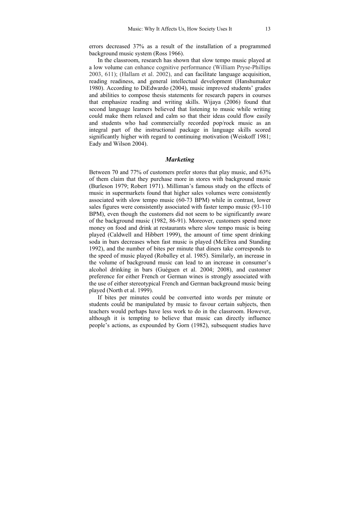errors decreased 37% as a result of the installation of a programmed background music system (Ross 1966).

In the classroom, research has shown that slow tempo music played at a low volume can enhance cognitive performance (William Pryse-Phillips 2003, 611); (Hallam et al. 2002), and can facilitate language acquisition, reading readiness, and general intellectual development (Hanshumaker 1980). According to DiEdwardo (2004), music improved students' grades and abilities to compose thesis statements for research papers in courses that emphasize reading and writing skills. Wijaya (2006) found that second language learners believed that listening to music while writing could make them relaxed and calm so that their ideas could flow easily and students who had commercially recorded pop/rock music as an integral part of the instructional package in language skills scored significantly higher with regard to continuing motivation (Weiskoff 1981; Eady and Wilson 2004).

#### *Marketing*

Between 70 and 77% of customers prefer stores that play music, and 63% of them claim that they purchase more in stores with background music (Burleson 1979; Robert 1971). Milliman's famous study on the effects of music in supermarkets found that higher sales volumes were consistently associated with slow tempo music (60-73 BPM) while in contrast, lower sales figures were consistently associated with faster tempo music (93-110 BPM), even though the customers did not seem to be significantly aware of the background music (1982, 86-91). Moreover, customers spend more money on food and drink at restaurants where slow tempo music is being played (Caldwell and Hibbert 1999), the amount of time spent drinking soda in bars decreases when fast music is played (McElrea and Standing 1992), and the number of bites per minute that diners take corresponds to the speed of music played (Roballey et al. 1985). Similarly, an increase in the volume of background music can lead to an increase in consumer's alcohol drinking in bars (Guéguen et al. 2004; 2008), and customer preference for either French or German wines is strongly associated with the use of either stereotypical French and German background music being played (North et al. 1999).

If bites per minutes could be converted into words per minute or students could be manipulated by music to favour certain subjects, then teachers would perhaps have less work to do in the classroom. However, although it is tempting to believe that music can directly influence people's actions, as expounded by Gorn (1982), subsequent studies have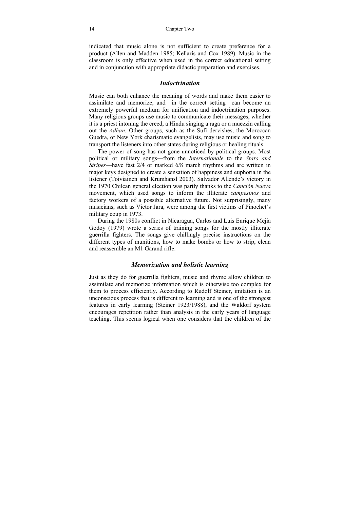#### 14 Chapter Two

indicated that music alone is not sufficient to create preference for a product (Allen and Madden 1985; Kellaris and Cox 1989). Music in the classroom is only effective when used in the correct educational setting and in conjunction with appropriate didactic preparation and exercises.

#### *Indoctrination*

Music can both enhance the meaning of words and make them easier to assimilate and memorize, and—in the correct setting—can become an extremely powerful medium for unification and indoctrination purposes. Many religious groups use music to communicate their messages, whether it is a priest intoning the creed, a Hindu singing a raga or a muezzin calling out the *Adhan*. Other groups, such as the Sufi dervishes, the Moroccan Guedra, or New York charismatic evangelists, may use music and song to transport the listeners into other states during religious or healing rituals.

The power of song has not gone unnoticed by political groups. Most political or military songs—from the *Internationale* to the *Stars and Stripes*—have fast 2/4 or marked 6/8 march rhythms and are written in major keys designed to create a sensation of happiness and euphoria in the listener (Toiviainen and Krumhansl 2003). Salvador Allende's victory in the 1970 Chilean general election was partly thanks to the *Canción Nueva* movement, which used songs to inform the illiterate *campesinos* and factory workers of a possible alternative future. Not surprisingly, many musicians, such as Victor Jara, were among the first victims of Pinochet's military coup in 1973.

During the 1980s conflict in Nicaragua, Carlos and Luis Enrique Mejía Godoy (1979) wrote a series of training songs for the mostly illiterate guerrilla fighters. The songs give chillingly precise instructions on the different types of munitions, how to make bombs or how to strip, clean and reassemble an M1 Garand rifle.

#### *Memorization and holistic learning*

Just as they do for guerrilla fighters, music and rhyme allow children to assimilate and memorize information which is otherwise too complex for them to process efficiently. According to Rudolf Steiner, imitation is an unconscious process that is different to learning and is one of the strongest features in early learning (Steiner 1923/1988), and the Waldorf system encourages repetition rather than analysis in the early years of language teaching. This seems logical when one considers that the children of the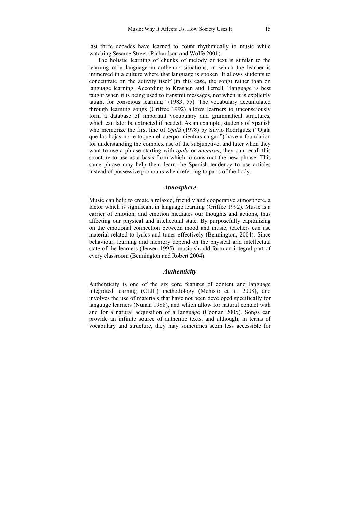last three decades have learned to count rhythmically to music while watching Sesame Street (Richardson and Wolfe 2001).

The holistic learning of chunks of melody or text is similar to the learning of a language in authentic situations, in which the learner is immersed in a culture where that language is spoken. It allows students to concentrate on the activity itself (in this case, the song) rather than on language learning. According to Krashen and Terrell, "language is best taught when it is being used to transmit messages, not when it is explicitly taught for conscious learning" (1983, 55). The vocabulary accumulated through learning songs (Griffee 1992) allows learners to unconsciously form a database of important vocabulary and grammatical structures, which can later be extracted if needed. As an example, students of Spanish who memorize the first line of *Ojalá* (1978) by Silvio Rodríguez ("Ojalá que las hojas no te toquen el cuerpo mientras caigan") have a foundation for understanding the complex use of the subjunctive, and later when they want to use a phrase starting with *ojalá* or *mientras*, they can recall this structure to use as a basis from which to construct the new phrase. This same phrase may help them learn the Spanish tendency to use articles instead of possessive pronouns when referring to parts of the body.

#### *Atmosphere*

Music can help to create a relaxed, friendly and cooperative atmosphere, a factor which is significant in language learning (Griffee 1992). Music is a carrier of emotion, and emotion mediates our thoughts and actions, thus affecting our physical and intellectual state. By purposefully capitalizing on the emotional connection between mood and music, teachers can use material related to lyrics and tunes effectively (Bennington, 2004). Since behaviour, learning and memory depend on the physical and intellectual state of the learners (Jensen 1995), music should form an integral part of every classroom (Bennington and Robert 2004).

#### *Authenticity*

Authenticity is one of the six core features of content and language integrated learning (CLIL) methodology (Mehisto et al. 2008), and involves the use of materials that have not been developed specifically for language learners (Nunan 1988), and which allow for natural contact with and for a natural acquisition of a language (Coonan 2005). Songs can provide an infinite source of authentic texts, and although, in terms of vocabulary and structure, they may sometimes seem less accessible for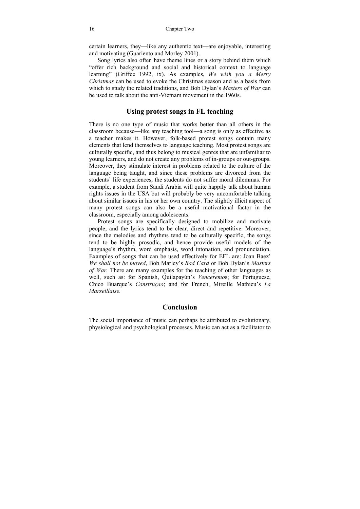certain learners, they—like any authentic text—are enjoyable, interesting and motivating (Guariento and Morley 2001).

Song lyrics also often have theme lines or a story behind them which "offer rich background and social and historical context to language learning" (Griffee 1992, ix). As examples, *We wish you a Merry Christmas* can be used to evoke the Christmas season and as a basis from which to study the related traditions, and Bob Dylan's *Masters of War* can be used to talk about the anti-Vietnam movement in the 1960s.

#### **Using protest songs in FL teaching**

There is no one type of music that works better than all others in the classroom because—like any teaching tool—a song is only as effective as a teacher makes it. However, folk-based protest songs contain many elements that lend themselves to language teaching. Most protest songs are culturally specific, and thus belong to musical genres that are unfamiliar to young learners, and do not create any problems of in-groups or out-groups. Moreover, they stimulate interest in problems related to the culture of the language being taught, and since these problems are divorced from the students' life experiences, the students do not suffer moral dilemmas. For example, a student from Saudi Arabia will quite happily talk about human rights issues in the USA but will probably be very uncomfortable talking about similar issues in his or her own country. The slightly illicit aspect of many protest songs can also be a useful motivational factor in the classroom, especially among adolescents.

Protest songs are specifically designed to mobilize and motivate people, and the lyrics tend to be clear, direct and repetitive. Moreover, since the melodies and rhythms tend to be culturally specific, the songs tend to be highly prosodic, and hence provide useful models of the language's rhythm, word emphasis, word intonation, and pronunciation. Examples of songs that can be used effectively for EFL are: Joan Baez' *We shall not be moved*, Bob Marley's *Bad Card* or Bob Dylan's *Masters of War.* There are many examples for the teaching of other languages as well, such as: for Spanish, Quilapayún's *Venceremo*s; for Portuguese, Chico Buarque's *Construçao*; and for French, Mireille Mathieu's *La Marseillaise.* 

#### **Conclusion**

The social importance of music can perhaps be attributed to evolutionary, physiological and psychological processes. Music can act as a facilitator to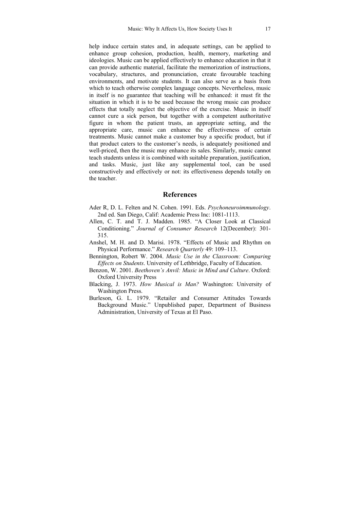help induce certain states and, in adequate settings, can be applied to enhance group cohesion, production, health, memory, marketing and ideologies. Music can be applied effectively to enhance education in that it can provide authentic material, facilitate the memorization of instructions, vocabulary, structures, and pronunciation, create favourable teaching environments, and motivate students. It can also serve as a basis from which to teach otherwise complex language concepts. Nevertheless, music in itself is no guarantee that teaching will be enhanced: it must fit the situation in which it is to be used because the wrong music can produce effects that totally neglect the objective of the exercise. Music in itself cannot cure a sick person, but together with a competent authoritative figure in whom the patient trusts, an appropriate setting, and the appropriate care, music can enhance the effectiveness of certain treatments. Music cannot make a customer buy a specific product, but if that product caters to the customer's needs, is adequately positioned and well-priced, then the music may enhance its sales. Similarly, music cannot teach students unless it is combined with suitable preparation, justification, and tasks. Music, just like any supplemental tool, can be used constructively and effectively or not: its effectiveness depends totally on the teacher.

#### **References**

- Ader R, D. L. Felten and N. Cohen. 1991. Eds. *Psychoneuroimmunology*. 2nd ed. San Diego, Calif: Academic Press Inc: 1081-1113.
- Allen, C. T. and T. J. Madden. 1985. "A Closer Look at Classical Conditioning." *Journal of Consumer Research* 12(December): 301- 315.
- Anshel, M. H. and D. Marisi. 1978. "Effects of Music and Rhythm on Physical Performance." *Research Quarterly* 49: 109–113.
- Bennington, Robert W. 2004. *Music Use in the Classroom: Comparing Effects on Students*. University of Lethbridge, Faculty of Education.
- Benzon, W. 2001. *Beethoven's Anvil: Music in Mind and Culture*. Oxford: Oxford University Press
- Blacking, J. 1973. *How Musical is Man?* Washington: University of Washington Press.
- Burleson, G. L. 1979. "Retailer and Consumer Attitudes Towards Background Music." Unpublished paper, Department of Business Administration, University of Texas at El Paso.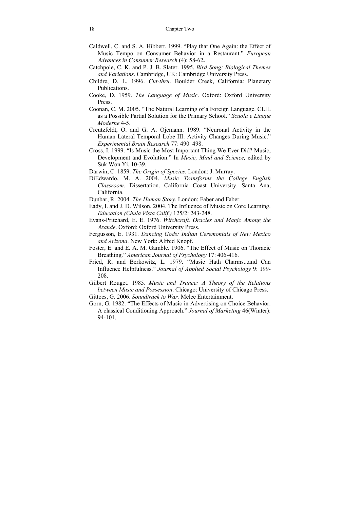- Caldwell, C. and S. A. Hibbert. 1999. "Play that One Again: the Effect of Music Tempo on Consumer Behavior in a Restaurant." *European Advances in Consumer Research* (4): 58-62**.**
- Catchpole, C. K. and P. J. B. Slater. 1995. *Bird Song: Biological Themes and Variations*. Cambridge, UK: Cambridge University Press.
- Childre, D. L. 1996. *Cut-thru*. Boulder Creek, California: Planetary Publications.
- Cooke, D. 1959. *The Language of Music*. Oxford: Oxford University Press.
- Coonan, C. M. 2005. "The Natural Learning of a Foreign Language. CLIL as a Possible Partial Solution for the Primary School." *Scuola e Lingue Moderne* 4-5.
- Creutzfeldt, O. and G. A. Ojemann. 1989. "Neuronal Activity in the Human Lateral Temporal Lobe III: Activity Changes During Music." *Experimental Brain Research* 77: 490–498.
- Cross, I. 1999. "Is Music the Most Important Thing We Ever Did? Music, Development and Evolution." In *Music, Mind and Science,* edited by Suk Won Yi. 10-39.
- Darwin, C. 1859. *The Origin of Species.* London: J. Murray.
- DiEdwardo, M. A. 2004. *Music Transforms the College English Classroom*. Dissertation. California Coast University. Santa Ana, California.
- Dunbar, R. 2004. *The Human Story*. London: Faber and Faber.
- Eady, I. and J. D. Wilson. 2004. The Influence of Music on Core Learning. *Education (Chula Vista Calif.)* 125/2: 243-248.
- Evans-Pritchard, E. E. 1976. *Witchcraft, Oracles and Magic Among the Azande*. Oxford: Oxford University Press.
- Fergusson, E. 1931. *Dancing Gods: Indian Ceremonials of New Mexico and Arizona*. New York: Alfred Knopf.
- Foster, E. and E. A. M. Gamble. 1906. "The Effect of Music on Thoracic Breathing." *American Journal of Psychology* 17: 406-416.
- Fried, R. and Berkowitz, L. 1979. "Music Hath Charms...and Can Influence Helpfulness." *Journal of Applied Social Psychology* 9: 199- 208.
- Gilbert Rouget. 1985. *Music and Trance: A Theory of the Relations between Music and Possession*. Chicago: University of Chicago Press.
- Gittoes, G. 2006. *Soundtrack to War.* Melee Entertainment.
- Gorn, G. 1982. "The Effects of Music in Advertising on Choice Behavior. A classical Conditioning Approach." *Journal of Marketing* 46(Winter): 94-101.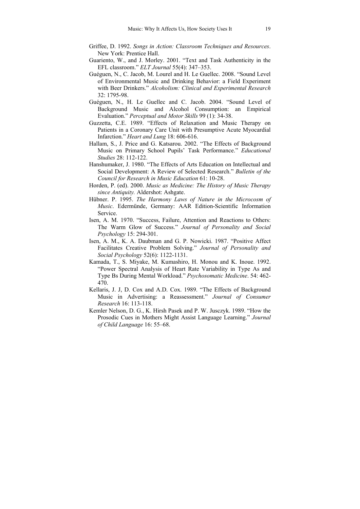- Griffee, D. 1992. *Songs in Action: Classroom Techniques and Resources*. New York: Prentice Hall.
- Guariento, W., and J. Morley. 2001. "Text and Task Authenticity in the EFL classroom." *ELT Journal* 55(4): 347–353.
- Guéguen, N., C. Jacob, M. Lourel and H. Le Guellec. 2008. "Sound Level of Environmental Music and Drinking Behavior: a Field Experiment with Beer Drinkers." *Alcoholism: Clinical and Experimental Research* 32: 1795-98.
- Guéguen, N., H. Le Guellec and C. Jacob. 2004. "Sound Level of Background Music and Alcohol Consumption: an Empirical Evaluation." *Perceptual and Motor Skills* 99 (1): 34-38.
- Guzzetta, C.E. 1989. "Effects of Relaxation and Music Therapy on Patients in a Coronary Care Unit with Presumptive Acute Myocardial Infarction." *Heart and Lung* 18: 606-616.
- Hallam, S., J. Price and G. Katsarou. 2002. "The Effects of Background Music on Primary School Pupils' Task Performance." *Educational Studies* 28: 112-122.
- Hanshumaker, J. 1980. "The Effects of Arts Education on Intellectual and Social Development: A Review of Selected Research." *Bulletin of the Council for Research in Music Education* 61: 10-28.
- Horden, P. (ed). 2000. *Music as Medicine: The History of Music Therapy since Antiquity.* Aldershot: Ashgate.
- Hübner. P. 1995. *The Harmony Laws of Nature in the Microcosm of Music*. Edermünde, Germany: AAR Edition-Scientific Information Service.
- Isen, A. M. 1970. "Success, Failure, Attention and Reactions to Others: The Warm Glow of Success." *Journal of Personality and Social Psychology* 15: 294-301.
- Isen, A. M., K. A. Daubman and G. P. Nowicki. 1987. "Positive Affect Facilitates Creative Problem Solving." *Journal of Personality and Social Psychology* 52(6): 1122-1131.
- Kamada, T., S. Miyake, M. Kumashiro, H. Monou and K. Inoue. 1992. "Power Spectral Analysis of Heart Rate Variability in Type As and Type Bs During Mental Workload." *Psychosomatic Medicine*. 54: 462- 470.
- Kellaris, J. J, D. Cox and A.D. Cox. 1989. "The Effects of Background Music in Advertising: a Reassessment." *Journal of Consumer Research* 16: 113-118.
- Kemler Nelson, D. G., K. Hirsh Pasek and P. W. Jusczyk. 1989. "How the Prosodic Cues in Mothers Might Assist Language Learning." *Journal of Child Language* 16: 55–68.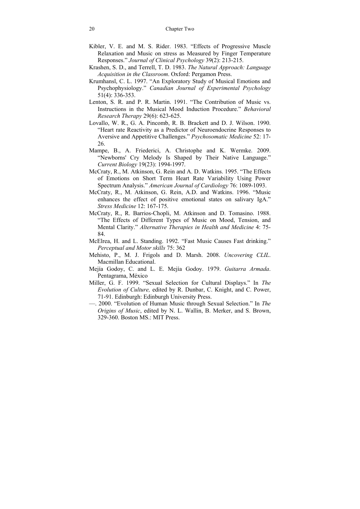- Kibler, V. E. and M. S. Rider. 1983. "Effects of Progressive Muscle Relaxation and Music on stress as Measured by Finger Temperature Responses." *Journal of Clinical Psychology* 39(2): 213-215.
- Krashen, S. D., and Terrell, T. D. 1983. *The Natural Approach: Language Acquisition in the Classroom*. Oxford: Pergamon Press.
- Krumhansl, C. L. 1997. "An Exploratory Study of Musical Emotions and Psychophysiology." *Canadian Journal of Experimental Psychology* 51(4): 336-353.
- Lenton, S. R. and P. R. Martin. 1991. "The Contribution of Music vs. Instructions in the Musical Mood Induction Procedure." *Behavioral Research Therapy* 29(6): 623-625.
- Lovallo, W. R., G. A. Pincomb, R. B. Brackett and D. J. Wilson. 1990. "Heart rate Reactivity as a Predictor of Neuroendocrine Responses to Aversive and Appetitive Challenges." *Psychosomatic Medicine* 52: 17- 26.
- Mampe, B., A. Friederici, A. Christophe and K. Wermke. 2009. "Newborns' Cry Melody Is Shaped by Their Native Language." *Current Biology* 19(23): 1994-1997.
- McCraty, R., M. Atkinson, G. Rein and A. D. Watkins. 1995. "The Effects of Emotions on Short Term Heart Rate Variability Using Power Spectrum Analysis." *American Journal of Cardiology* 76: 1089-1093.
- McCraty, R., M. Atkinson, G. Rein, A.D. and Watkins. 1996. "Music enhances the effect of positive emotional states on salivary IgA." *Stress Medicine* 12: 167-175.
- McCraty, R., R. Barrios-Chopli, M. Atkinson and D. Tomasino. 1988. "The Effects of Different Types of Music on Mood, Tension, and Mental Clarity." *Alternative Therapies in Health and Medicine* 4: 75- 84.
- McElrea, H. and L. Standing. 1992. "Fast Music Causes Fast drinking." *Perceptual and Motor skills* 75: 362
- Mehisto, P., M. J. Frigols and D. Marsh. 2008. *Uncovering CLIL*. Macmillan Educational.
- Mejía Godoy, C. and L. E. Mejía Godoy. 1979. *Guitarra Armada*. Pentagrama, México
- Miller, G. F. 1999. "Sexual Selection for Cultural Displays." In *The Evolution of Culture,* edited by R. Dunbar, C. Knight, and C. Power, 71-91. Edinburgh: Edinburgh University Press.
- —. 2000. "Evolution of Human Music through Sexual Selection." In *The Origins of Music*, edited by N. L. Wallin, B. Merker, and S. Brown, 329-360. Boston MS.: MIT Press.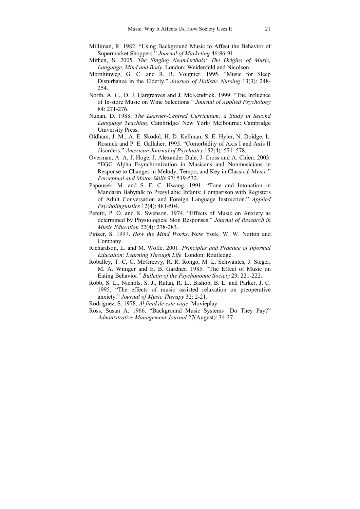- Milliman, R. 1982. "Using Background Music to Affect the Behavior of Supermarket Shoppers." *Journal of Marketing* 46:86-91
- Mithen, S. 2005. *The Singing Neanderthals: The Origins of Music, Language, Mind and Body.* London: Weidenfeld and Nicolson.
- Mornhinweg, G. C. and R. R. Voignier. 1995. "Music for Sleep Disturbance in the Elderly." *Journal of Holistic Nursing* 13(3): 248- 254.
- North, A. C., D. J. Hargreaves and J. McKendrick. 1999. "The Influence of In-store Music on Wine Selections." *Journal of Applied Psychology* 84: 271-276.
- Nunan, D. 1988. *The Learner-Centred Curriculum: a Study in Second Language Teaching.* Cambridge/ New York/ Melbourne: Cambridge University Press.
- Oldham, J. M., A. E. Skodol, H. D. Kellman, S. E. Hyler, N. Doidge, L. Rosnick and P. E. Gallaher. 1995. "Comorbidity of Axis I and Axis II disorders." *American Journal of Psychiatry* 152(4): 571–578.
- Overman, A. A, J. Hoge, J. Alexander Dale, J. Cross and A. Chien. 2003. "EGG Alpha Esynchronization in Musicans and Nonmusicians in Response to Changes in Melody, Tempo, and Key in Classical Music." *Perceptual and Motor Skills* 97: 519-532.
- Papousek, M. and S. F. C. Hwang. 1991. "Tone and Intonation in Mandarin Babytalk to Presyllabic Infants: Comparison with Registers of Adult Conversation and Foreign Language Instruction." *Applied Psycholinguistics* 12(4): 481-504.
- Peretti, P. O. and K. Swenson. 1974. "Effects of Music on Anxiety as determined by Physiological Skin Responses." *Journal of Research in Music Education* 22(4): 278-283.
- Pinker, S. 1997. *How the Mind Works*. New York: W. W. Norton and Company.
- Richardson, L. and M. Wolfe. 2001. *Principles and Practice of Informal Education; Learning Through Life.* London: Routledge.
- Roballey, T. C, C. McGreevy, R. R. Rongo, M. L. Schwantes, J. Steger, M. A. Winiger and E. B. Gardner. 1985. "The Effect of Music on Eating Behavior." *Bulletin of the Psychonomic Society* 23: 221-222.
- Robb, S. L., Nichols, S. J., Rutan, R. L., Bishop, B. L. and Parker, J. C. 1995. "The effects of music assisted relaxation on preoperative anxiety." *Journal of Music Therapy* 32: 2-21.
- Rodriguez, S. 1978. *Al final de este viaje*. Movieplay.
- Ross, Susan A. 1966. "Background Music Systems—Do They Pay?" *Administrative Management Journal* 27(August): 34-37.